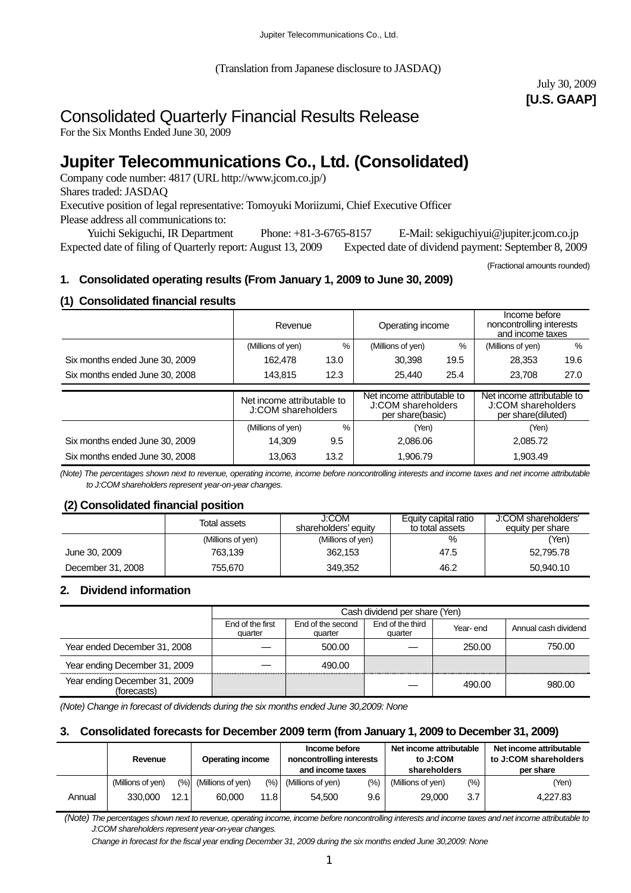(Translation from Japanese disclosure to JASDAQ)

July 30, 2009 **[U.S. GAAP]** 

# Consolidated Quarterly Financial Results Release

For the Six Months Ended June 30, 2009

# **Jupiter Telecommunications Co., Ltd. (Consolidated)**

Company code number: 4817 (URL http://www.jcom.co.jp/) Shares traded: JASDAQ Executive position of legal representative: Tomoyuki Moriizumi, Chief Executive Officer Please address all communications to:

 Yuichi Sekiguchi, IR Department Phone: +81-3-6765-8157 E-Mail: sekiguchiyui@jupiter.jcom.co.jp Expected date of filing of Quarterly report: August 13, 2009 Expected date of dividend payment: September 8, 2009

(Fractional amounts rounded)

## **1. Consolidated operating results (From January 1, 2009 to June 30, 2009)**

## **(1) Consolidated financial results**

|                                | Revenue                                          |      | Operating income                                                     |               | Income before<br>noncontrolling interests<br>and income taxes          |      |
|--------------------------------|--------------------------------------------------|------|----------------------------------------------------------------------|---------------|------------------------------------------------------------------------|------|
|                                | (Millions of yen)                                | %    | (Millions of yen)                                                    | $\frac{0}{0}$ | (Millions of yen)                                                      | $\%$ |
| Six months ended June 30, 2009 | 162.478                                          | 13.0 | 30.398                                                               | 19.5          | 28,353                                                                 | 19.6 |
| Six months ended June 30, 2008 | 143.815<br>12.3                                  |      | 25,440                                                               | 25.4          | 23.708                                                                 | 27.0 |
|                                |                                                  |      |                                                                      |               |                                                                        |      |
|                                | Net income attributable to<br>J:COM shareholders |      | Net income attributable to<br>J:COM shareholders<br>per share(basic) |               | Net income attributable to<br>J:COM shareholders<br>per share(diluted) |      |
|                                | (Millions of yen)                                | $\%$ | (Yen)                                                                |               | (Yen)                                                                  |      |
| Six months ended June 30, 2009 | 9.5<br>14.309                                    |      | 2.086.06                                                             |               | 2.085.72                                                               |      |
| Six months ended June 30, 2008 | 13.2<br>13.063                                   |      | 1.906.79                                                             |               | 1.903.49                                                               |      |

*(Note) The percentages shown next to revenue, operating income, income before noncontrolling interests and income taxes and net income attributable to J:COM shareholders represent year-on-year changes.* 

## **(2) Consolidated financial position**

|                   | Total assets      | J:COM<br>shareholders' equity | Equity capital ratio<br>to total assets | J:COM shareholders'<br>equity per share |
|-------------------|-------------------|-------------------------------|-----------------------------------------|-----------------------------------------|
|                   | (Millions of yen) | (Millions of yen)             | $\%$                                    | (Yen)                                   |
| June 30, 2009     | 763,139           | 362.153                       | 47.5                                    | 52,795,78                               |
| December 31, 2008 | 755.670           | 349.352                       | 46.2                                    | 50.940.10                               |

## **2. Dividend information**

|                                              |                             | Cash dividend per share (Yen) |                             |          |                      |  |  |
|----------------------------------------------|-----------------------------|-------------------------------|-----------------------------|----------|----------------------|--|--|
|                                              | End of the first<br>quarter | End of the second<br>quarter  | End of the third<br>quarter | Year-end | Annual cash dividend |  |  |
| Year ended December 31, 2008                 |                             | 500.00                        |                             | 250.00   | 750.00               |  |  |
| Year ending December 31, 2009                |                             | 490.00                        |                             |          |                      |  |  |
| Year ending December 31, 2009<br>(forecasts) |                             |                               |                             | 490.00   | 980.00               |  |  |

*(Note) Change in forecast of dividends during the six months ended June 30,2009: None* 

## **3. Consolidated forecasts for December 2009 term (from January 1, 2009 to December 31, 2009)**

|        | Revenue           |      | <b>Operating income</b>  |      | Income before<br>noncontrolling interests<br>and income taxes |       | Net income attributable<br>to J:COM<br>shareholders |         | Net income attributable<br>to J:COM shareholders<br>per share |  |
|--------|-------------------|------|--------------------------|------|---------------------------------------------------------------|-------|-----------------------------------------------------|---------|---------------------------------------------------------------|--|
|        | (Millions of yen) |      | $(\%)$ (Millions of yen) | (%)  | (Millions of yen)                                             | (9/0) | (Millions of yen)                                   | $(\% )$ | (Yen)                                                         |  |
| Annual | 330,000           | 12.1 | 60.000                   | 11.8 | 54.500                                                        | 9.6   | 29,000                                              | 3.7     | 4.227.83                                                      |  |

 *(Note) The percentages shown next to revenue, operating income, income before noncontrolling interests and income taxes and net income attributable to J:COM shareholders represent year-on-year changes.* 

*Change in forecast for the fiscal year ending December 31, 2009 during the six months ended June 30,2009: None*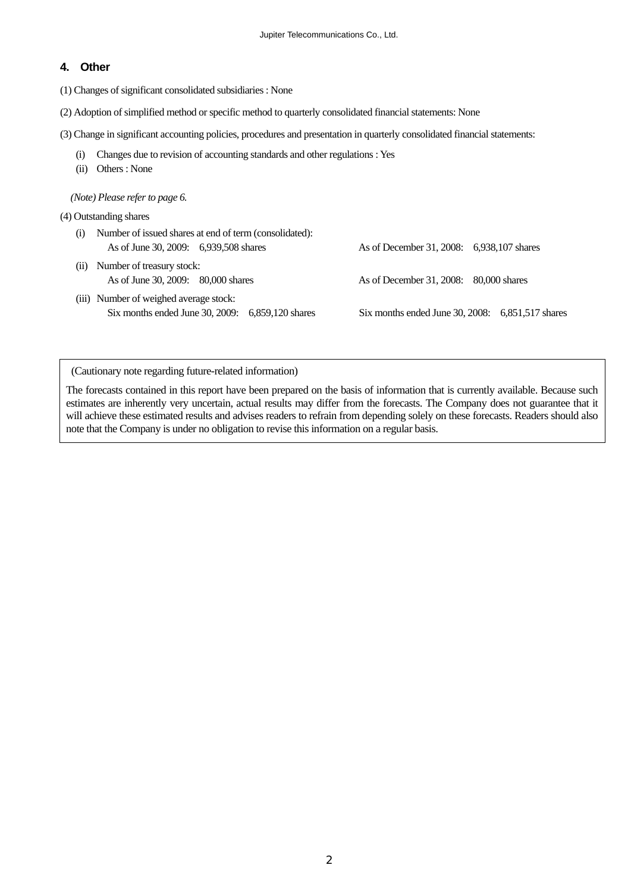#### **4. Other**

(1) Changes of significant consolidated subsidiaries : None

- (2) Adoption of simplified method or specific method to quarterly consolidated financial statements: None
- (3) Change in significant accounting policies, procedures and presentation in quarterly consolidated financial statements:
	- (i) Changes due to revision of accounting standards and other regulations : Yes
	- (ii) Others : None

*(Note) Please refer to page 6.* 

- (4) Outstanding shares
	- (i) Number of issued shares at end of term (consolidated): As of June 30, 2009: 6,939,508 shares As of December 31, 2008: 6,938,107 shares
	- (ii) Number of treasury stock:
	- (iii) Number of weighed average stock: Six months ended June 30, 2009: 6,859,120 shares Six months ended June 30, 2008: 6,851,517 shares

As of June 30, 2009: 80,000 shares As of December 31, 2008: 80,000 shares

(Cautionary note regarding future-related information)

The forecasts contained in this report have been prepared on the basis of information that is currently available. Because such estimates are inherently very uncertain, actual results may differ from the forecasts. The Company does not guarantee that it will achieve these estimated results and advises readers to refrain from depending solely on these forecasts. Readers should also note that the Company is under no obligation to revise this information on a regular basis.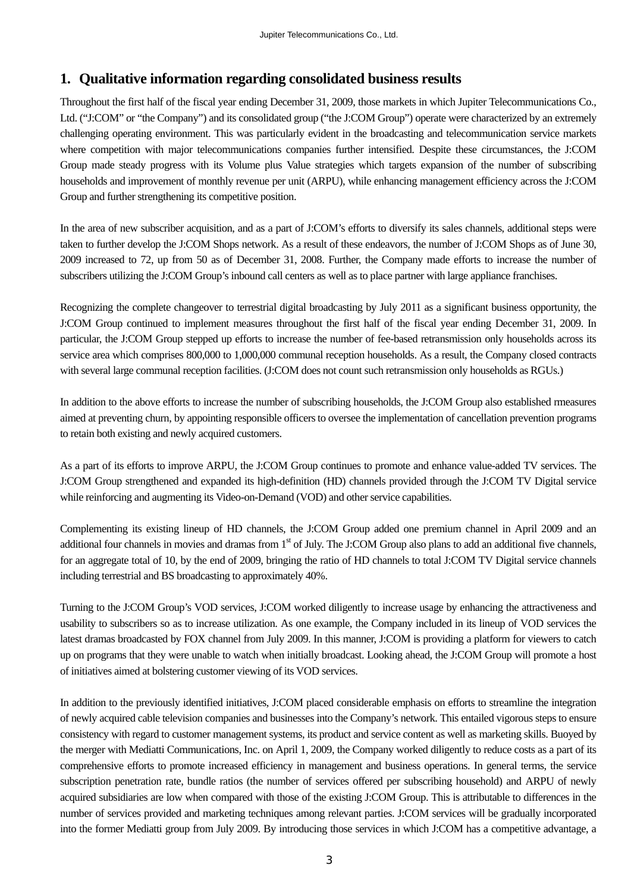# **1. Qualitative information regarding consolidated business results**

Throughout the first half of the fiscal year ending December 31, 2009, those markets in which Jupiter Telecommunications Co., Ltd. ("J:COM" or "the Company") and its consolidated group ("the J:COM Group") operate were characterized by an extremely challenging operating environment. This was particularly evident in the broadcasting and telecommunication service markets where competition with major telecommunications companies further intensified. Despite these circumstances, the J:COM Group made steady progress with its Volume plus Value strategies which targets expansion of the number of subscribing households and improvement of monthly revenue per unit (ARPU), while enhancing management efficiency across the J:COM Group and further strengthening its competitive position.

In the area of new subscriber acquisition, and as a part of J:COM's efforts to diversify its sales channels, additional steps were taken to further develop the J:COM Shops network. As a result of these endeavors, the number of J:COM Shops as of June 30, 2009 increased to 72, up from 50 as of December 31, 2008. Further, the Company made efforts to increase the number of subscribers utilizing the J:COM Group's inbound call centers as well as to place partner with large appliance franchises.

Recognizing the complete changeover to terrestrial digital broadcasting by July 2011 as a significant business opportunity, the J:COM Group continued to implement measures throughout the first half of the fiscal year ending December 31, 2009. In particular, the J:COM Group stepped up efforts to increase the number of fee-based retransmission only households across its service area which comprises 800,000 to 1,000,000 communal reception households. As a result, the Company closed contracts with several large communal reception facilities. (J:COM does not count such retransmission only households as RGUs.)

In addition to the above efforts to increase the number of subscribing households, the J:COM Group also established rmeasures aimed at preventing churn, by appointing responsible officers to oversee the implementation of cancellation prevention programs to retain both existing and newly acquired customers.

As a part of its efforts to improve ARPU, the J:COM Group continues to promote and enhance value-added TV services. The J:COM Group strengthened and expanded its high-definition (HD) channels provided through the J:COM TV Digital service while reinforcing and augmenting its Video-on-Demand (VOD) and other service capabilities.

Complementing its existing lineup of HD channels, the J:COM Group added one premium channel in April 2009 and an additional four channels in movies and dramas from  $1<sup>st</sup>$  of July. The J:COM Group also plans to add an additional five channels. for an aggregate total of 10, by the end of 2009, bringing the ratio of HD channels to total J:COM TV Digital service channels including terrestrial and BS broadcasting to approximately 40%.

Turning to the J:COM Group's VOD services, J:COM worked diligently to increase usage by enhancing the attractiveness and usability to subscribers so as to increase utilization. As one example, the Company included in its lineup of VOD services the latest dramas broadcasted by FOX channel from July 2009. In this manner, J:COM is providing a platform for viewers to catch up on programs that they were unable to watch when initially broadcast. Looking ahead, the J:COM Group will promote a host of initiatives aimed at bolstering customer viewing of its VOD services.

In addition to the previously identified initiatives, J:COM placed considerable emphasis on efforts to streamline the integration of newly acquired cable television companies and businesses into the Company's network. This entailed vigorous steps to ensure consistency with regard to customer management systems, its product and service content as well as marketing skills. Buoyed by the merger with Mediatti Communications, Inc. on April 1, 2009, the Company worked diligently to reduce costs as a part of its comprehensive efforts to promote increased efficiency in management and business operations. In general terms, the service subscription penetration rate, bundle ratios (the number of services offered per subscribing household) and ARPU of newly acquired subsidiaries are low when compared with those of the existing J:COM Group. This is attributable to differences in the number of services provided and marketing techniques among relevant parties. J:COM services will be gradually incorporated into the former Mediatti group from July 2009. By introducing those services in which J:COM has a competitive advantage, a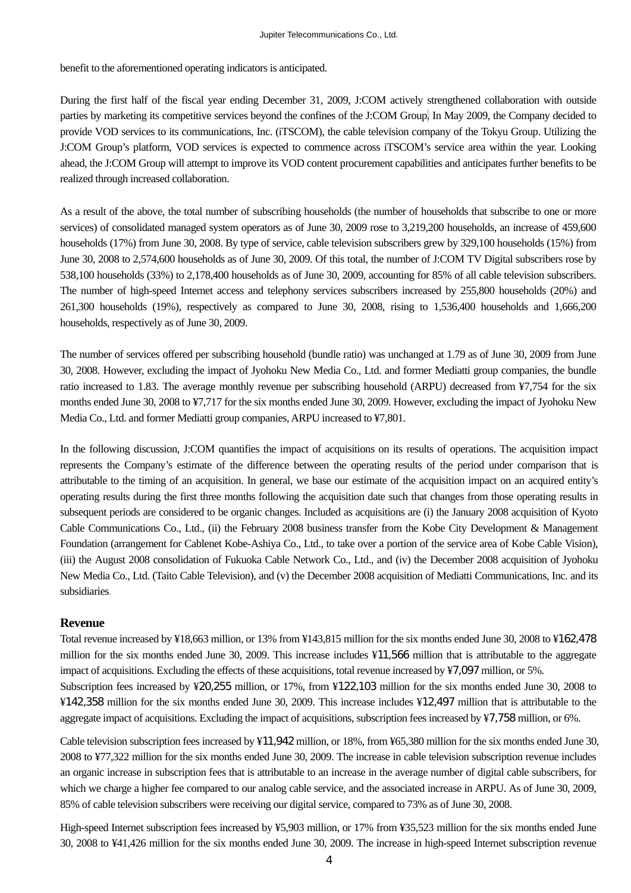benefit to the aforementioned operating indicators is anticipated.

During the first half of the fiscal year ending December 31, 2009, J:COM actively strengthened collaboration with outside parties by marketing its competitive services beyond the confines of the J:COM Group. In May 2009, the Company decided to provide VOD services to its communications, Inc. (iTSCOM), the cable television company of the Tokyu Group. Utilizing the J:COM Group's platform, VOD services is expected to commence across iTSCOM's service area within the year. Looking ahead, the J:COM Group will attempt to improve its VOD content procurement capabilities and anticipates further benefits to be realized through increased collaboration.

As a result of the above, the total number of subscribing households (the number of households that subscribe to one or more services) of consolidated managed system operators as of June 30, 2009 rose to 3,219,200 households, an increase of 459,600 households (17%) from June 30, 2008. By type of service, cable television subscribers grew by 329,100 households (15%) from June 30, 2008 to 2,574,600 households as of June 30, 2009. Of this total, the number of J:COM TV Digital subscribers rose by 538,100 households (33%) to 2,178,400 households as of June 30, 2009, accounting for 85% of all cable television subscribers. The number of high-speed Internet access and telephony services subscribers increased by 255,800 households (20%) and 261,300 households (19%), respectively as compared to June 30, 2008, rising to 1,536,400 households and 1,666,200 households, respectively as of June 30, 2009.

The number of services offered per subscribing household (bundle ratio) was unchanged at 1.79 as of June 30, 2009 from June 30, 2008. However, excluding the impact of Jyohoku New Media Co., Ltd. and former Mediatti group companies, the bundle ratio increased to 1.83. The average monthly revenue per subscribing household (ARPU) decreased from ¥7,754 for the six months ended June 30, 2008 to ¥7,717 for the six months ended June 30, 2009. However, excluding the impact of Jyohoku New Media Co., Ltd. and former Mediatti group companies, ARPU increased to ¥7,801.

In the following discussion, J:COM quantifies the impact of acquisitions on its results of operations. The acquisition impact represents the Company's estimate of the difference between the operating results of the period under comparison that is attributable to the timing of an acquisition. In general, we base our estimate of the acquisition impact on an acquired entity's operating results during the first three months following the acquisition date such that changes from those operating results in subsequent periods are considered to be organic changes. Included as acquisitions are (i) the January 2008 acquisition of Kyoto Cable Communications Co., Ltd., (ii) the February 2008 business transfer from the Kobe City Development & Management Foundation (arrangement for Cablenet Kobe-Ashiya Co., Ltd., to take over a portion of the service area of Kobe Cable Vision), (iii) the August 2008 consolidation of Fukuoka Cable Network Co., Ltd., and (iv) the December 2008 acquisition of Jyohoku New Media Co., Ltd. (Taito Cable Television), and (v) the December 2008 acquisition of Mediatti Communications, Inc. and its subsidiaries.

#### **Revenue**

Total revenue increased by ¥18,663 million, or 13% from ¥143,815 million for the six months ended June 30, 2008 to ¥162,478 million for the six months ended June 30, 2009. This increase includes ¥11,566 million that is attributable to the aggregate impact of acquisitions. Excluding the effects of these acquisitions, total revenue increased by ¥7,097 million, or 5%.

Subscription fees increased by ¥20,255 million, or 17%, from ¥122,103 million for the six months ended June 30, 2008 to ¥142,358 million for the six months ended June 30, 2009. This increase includes ¥12,497 million that is attributable to the aggregate impact of acquisitions. Excluding the impact of acquisitions, subscription fees increased by ¥7,758 million, or 6%.

Cable television subscription fees increased by ¥11,942 million, or 18%, from ¥65,380 million for the six months ended June 30, 2008 to ¥77,322 million for the six months ended June 30, 2009. The increase in cable television subscription revenue includes an organic increase in subscription fees that is attributable to an increase in the average number of digital cable subscribers, for which we charge a higher fee compared to our analog cable service, and the associated increase in ARPU. As of June 30, 2009, 85% of cable television subscribers were receiving our digital service, compared to 73% as of June 30, 2008.

High-speed Internet subscription fees increased by ¥5,903 million, or 17% from ¥35,523 million for the six months ended June 30, 2008 to ¥41,426 million for the six months ended June 30, 2009. The increase in high-speed Internet subscription revenue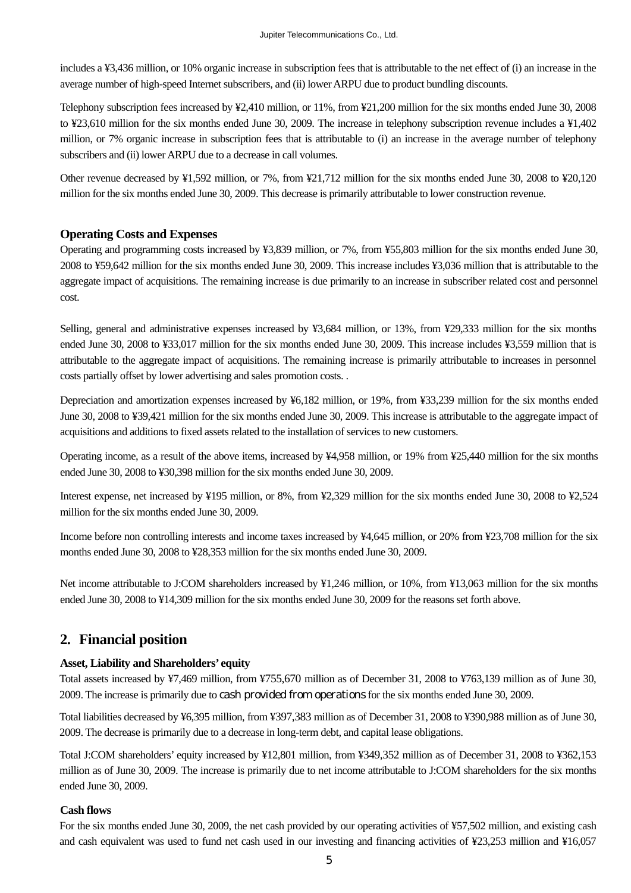includes a ¥3,436 million, or 10% organic increase in subscription fees that is attributable to the net effect of (i) an increase in the average number of high-speed Internet subscribers, and (ii) lower ARPU due to product bundling discounts.

Telephony subscription fees increased by ¥2,410 million, or 11%, from ¥21,200 million for the six months ended June 30, 2008 to ¥23,610 million for the six months ended June 30, 2009. The increase in telephony subscription revenue includes a ¥1,402 million, or 7% organic increase in subscription fees that is attributable to (i) an increase in the average number of telephony subscribers and (ii) lower ARPU due to a decrease in call volumes.

Other revenue decreased by ¥1,592 million, or 7%, from ¥21,712 million for the six months ended June 30, 2008 to ¥20,120 million for the six months ended June 30, 2009. This decrease is primarily attributable to lower construction revenue.

#### **Operating Costs and Expenses**

Operating and programming costs increased by ¥3,839 million, or 7%, from ¥55,803 million for the six months ended June 30, 2008 to ¥59,642 million for the six months ended June 30, 2009. This increase includes ¥3,036 million that is attributable to the aggregate impact of acquisitions. The remaining increase is due primarily to an increase in subscriber related cost and personnel cost.

Selling, general and administrative expenses increased by ¥3,684 million, or 13%, from ¥29,333 million for the six months ended June 30, 2008 to ¥33,017 million for the six months ended June 30, 2009. This increase includes ¥3,559 million that is attributable to the aggregate impact of acquisitions. The remaining increase is primarily attributable to increases in personnel costs partially offset by lower advertising and sales promotion costs. .

Depreciation and amortization expenses increased by ¥6,182 million, or 19%, from ¥33,239 million for the six months ended June 30, 2008 to ¥39,421 million for the six months ended June 30, 2009. This increase is attributable to the aggregate impact of acquisitions and additions to fixed assets related to the installation of services to new customers.

Operating income, as a result of the above items, increased by ¥4,958 million, or 19% from ¥25,440 million for the six months ended June 30, 2008 to ¥30,398 million for the six months ended June 30, 2009.

Interest expense, net increased by ¥195 million, or 8%, from ¥2,329 million for the six months ended June 30, 2008 to ¥2,524 million for the six months ended June 30, 2009.

Income before non controlling interests and income taxes increased by ¥4,645 million, or 20% from ¥23,708 million for the six months ended June 30, 2008 to ¥28,353 million for the six months ended June 30, 2009.

Net income attributable to J:COM shareholders increased by ¥1,246 million, or 10%, from ¥13,063 million for the six months ended June 30, 2008 to ¥14,309 million for the six months ended June 30, 2009 for the reasons set forth above.

# **2. Financial position**

#### **Asset, Liability and Shareholders' equity**

Total assets increased by ¥7,469 million, from ¥755,670 million as of December 31, 2008 to ¥763,139 million as of June 30, 2009. The increase is primarily due to cash provided from operations for the six months ended June 30, 2009.

Total liabilities decreased by ¥6,395 million, from ¥397,383 million as of December 31, 2008 to ¥390,988 million as of June 30, 2009. The decrease is primarily due to a decrease in long-term debt, and capital lease obligations.

Total J:COM shareholders' equity increased by ¥12,801 million, from ¥349,352 million as of December 31, 2008 to ¥362,153 million as of June 30, 2009. The increase is primarily due to net income attributable to J:COM shareholders for the six months ended June 30, 2009.

#### **Cash flows**

For the six months ended June 30, 2009, the net cash provided by our operating activities of ¥57,502 million, and existing cash and cash equivalent was used to fund net cash used in our investing and financing activities of ¥23,253 million and ¥16,057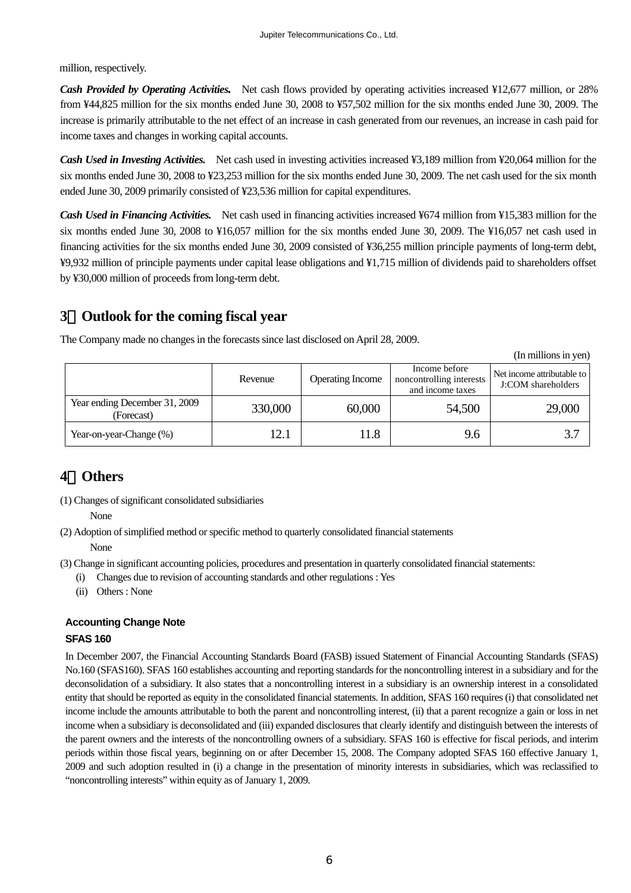million, respectively.

*Cash Provided by Operating Activities.* Net cash flows provided by operating activities increased ¥12,677 million, or 28% from ¥44,825 million for the six months ended June 30, 2008 to ¥57,502 million for the six months ended June 30, 2009. The increase is primarily attributable to the net effect of an increase in cash generated from our revenues, an increase in cash paid for income taxes and changes in working capital accounts.

*Cash Used in Investing Activities.* Net cash used in investing activities increased ¥3,189 million from ¥20,064 million for the six months ended June 30, 2008 to ¥23,253 million for the six months ended June 30, 2009. The net cash used for the six month ended June 30, 2009 primarily consisted of ¥23,536 million for capital expenditures.

*Cash Used in Financing Activities.* Net cash used in financing activities increased ¥674 million from ¥15,383 million for the six months ended June 30, 2008 to ¥16,057 million for the six months ended June 30, 2009. The ¥16,057 net cash used in financing activities for the six months ended June 30, 2009 consisted of ¥36,255 million principle payments of long-term debt, ¥9,932 million of principle payments under capital lease obligations and ¥1,715 million of dividends paid to shareholders offset by ¥30,000 million of proceeds from long-term debt.

# **3**.**Outlook for the coming fiscal year**

The Company made no changes in the forecasts since last disclosed on April 28, 2009.

(In millions in yen)

|                                             | Revenue | <b>Operating Income</b> | Income before<br>noncontrolling interests<br>and income taxes | Net income attributable to<br>J:COM shareholders |
|---------------------------------------------|---------|-------------------------|---------------------------------------------------------------|--------------------------------------------------|
| Year ending December 31, 2009<br>(Forecast) | 330,000 | 60,000                  | 54,500                                                        | 29,000                                           |
| Year-on-year-Change (%)                     | 12.1    | 1.8                     | 9.6                                                           |                                                  |

# **4**.**Others**

(1) Changes of significant consolidated subsidiaries

None

(2) Adoption of simplified method or specific method to quarterly consolidated financial statements

None

- (3) Change in significant accounting policies, procedures and presentation in quarterly consolidated financial statements:
	- (i) Changes due to revision of accounting standards and other regulations : Yes
	- (ii) Others : None

## **Accounting Change Note**

#### **SFAS 160**

In December 2007, the Financial Accounting Standards Board (FASB) issued Statement of Financial Accounting Standards (SFAS) No.160 (SFAS160). SFAS 160 establishes accounting and reporting standards for the noncontrolling interest in a subsidiary and for the deconsolidation of a subsidiary. It also states that a noncontrolling interest in a subsidiary is an ownership interest in a consolidated entity that should be reported as equity in the consolidated financial statements. In addition, SFAS 160 requires (i) that consolidated net income include the amounts attributable to both the parent and noncontrolling interest, (ii) that a parent recognize a gain or loss in net income when a subsidiary is deconsolidated and (iii) expanded disclosures that clearly identify and distinguish between the interests of the parent owners and the interests of the noncontrolling owners of a subsidiary. SFAS 160 is effective for fiscal periods, and interim periods within those fiscal years, beginning on or after December 15, 2008. The Company adopted SFAS 160 effective January 1, 2009 and such adoption resulted in (i) a change in the presentation of minority interests in subsidiaries, which was reclassified to "noncontrolling interests" within equity as of January 1, 2009.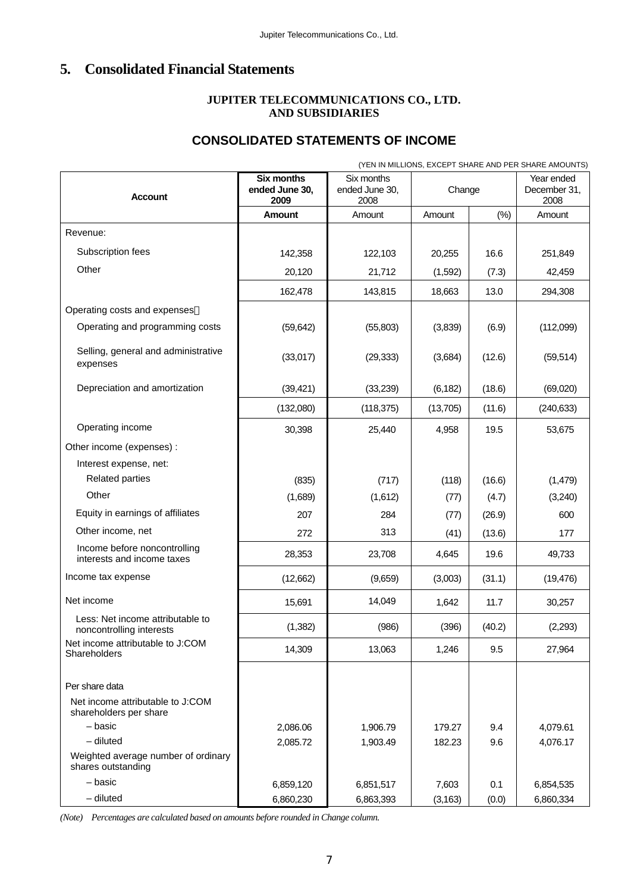# **5. Consolidated Financial Statements**

## **JUPITER TELECOMMUNICATIONS CO., LTD. AND SUBSIDIARIES**

# **CONSOLIDATED STATEMENTS OF INCOME**

|                                                              |                                             |                                      |          |        | (YEN IN MILLIONS, EXCEPT SHARE AND PER SHARE AMOUNTS) |  |
|--------------------------------------------------------------|---------------------------------------------|--------------------------------------|----------|--------|-------------------------------------------------------|--|
| <b>Account</b>                                               | <b>Six months</b><br>ended June 30,<br>2009 | Six months<br>ended June 30,<br>2008 | Change   |        | Year ended<br>December 31,<br>2008                    |  |
|                                                              | Amount                                      | Amount                               | Amount   | (%)    | Amount                                                |  |
| Revenue:                                                     |                                             |                                      |          |        |                                                       |  |
| Subscription fees                                            | 142,358                                     | 122,103                              | 20,255   | 16.6   | 251,849                                               |  |
| Other                                                        | 20,120                                      | 21,712                               | (1,592)  | (7.3)  | 42,459                                                |  |
|                                                              | 162,478                                     | 143,815                              | 18,663   | 13.0   | 294,308                                               |  |
| Operating costs and expenses                                 |                                             |                                      |          |        |                                                       |  |
| Operating and programming costs                              | (59, 642)                                   | (55,803)                             | (3,839)  | (6.9)  | (112,099)                                             |  |
| Selling, general and administrative<br>expenses              | (33,017)                                    | (29, 333)                            | (3,684)  | (12.6) | (59, 514)                                             |  |
| Depreciation and amortization                                | (39, 421)                                   | (33,239)                             | (6, 182) | (18.6) | (69,020)                                              |  |
|                                                              | (132,080)                                   | (118,375)                            | (13,705) | (11.6) | (240, 633)                                            |  |
| Operating income                                             | 30,398                                      | 25,440                               | 4,958    | 19.5   | 53,675                                                |  |
| Other income (expenses) :                                    |                                             |                                      |          |        |                                                       |  |
| Interest expense, net:                                       |                                             |                                      |          |        |                                                       |  |
| <b>Related parties</b>                                       | (835)                                       | (717)                                | (118)    | (16.6) | (1, 479)                                              |  |
| Other                                                        | (1,689)                                     | (1,612)                              | (77)     | (4.7)  | (3,240)                                               |  |
| Equity in earnings of affiliates                             | 207                                         | 284                                  | (77)     | (26.9) | 600                                                   |  |
| Other income, net                                            | 272                                         | 313                                  | (41)     | (13.6) | 177                                                   |  |
| Income before noncontrolling<br>interests and income taxes   | 28,353                                      | 23,708                               | 4,645    | 19.6   | 49,733                                                |  |
| Income tax expense                                           | (12,662)                                    | (9,659)                              | (3,003)  | (31.1) | (19, 476)                                             |  |
| Net income                                                   | 15,691                                      | 14,049                               | 1,642    | 11.7   | 30,257                                                |  |
| Less: Net income attributable to<br>noncontrolling interests | (1, 382)                                    | (986)                                | (396)    | (40.2) | (2,293)                                               |  |
| Net income attributable to J:COM<br>Shareholders             | 14,309                                      | 13,063                               | 1,246    | 9.5    | 27,964                                                |  |
| Per share data                                               |                                             |                                      |          |        |                                                       |  |

*(Note) Percentages are calculated based on amounts before rounded in Change column.*

Net income attributable to J:COM

Weighted average number of ordinary

shareholders per share

shares outstanding

– basic 2,086.06 1,906.79 179.27 9.4 4,079.61 – diluted 2,085.72 1,903.49 182.23 9.6 4,076.17

– basic 6,859,120 6,851,517 7,603 0.1 6,854,535 – diluted 6,860,230 6,863,393 (3,163) (0.0) 6,860,334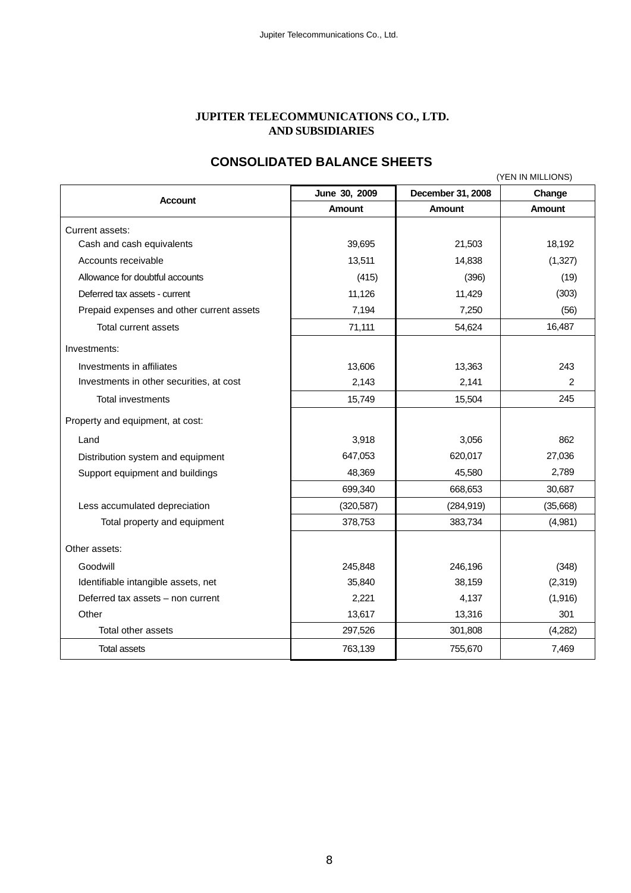#### **JUPITER TELECOMMUNICATIONS CO., LTD. AND SUBSIDIARIES**

# **CONSOLIDATED BALANCE SHEETS**

|                                           |               |                   | (YEN IN MILLIONS) |
|-------------------------------------------|---------------|-------------------|-------------------|
| <b>Account</b>                            | June 30, 2009 | December 31, 2008 | Change            |
|                                           | <b>Amount</b> | <b>Amount</b>     | <b>Amount</b>     |
| Current assets:                           |               |                   |                   |
| Cash and cash equivalents                 | 39,695        | 21,503            | 18,192            |
| Accounts receivable                       | 13,511        | 14,838            | (1, 327)          |
| Allowance for doubtful accounts           | (415)         | (396)             | (19)              |
| Deferred tax assets - current             | 11,126        | 11,429            | (303)             |
| Prepaid expenses and other current assets | 7,194         | 7,250             | (56)              |
| Total current assets                      | 71,111        | 54,624            | 16,487            |
| Investments:                              |               |                   |                   |
| Investments in affiliates                 | 13,606        | 13,363            | 243               |
| Investments in other securities, at cost  | 2.143         | 2,141             | 2                 |
| <b>Total investments</b>                  | 15,749        | 15,504            | 245               |
| Property and equipment, at cost:          |               |                   |                   |
| Land                                      | 3,918         | 3,056             | 862               |
| Distribution system and equipment         | 647,053       | 620,017           | 27,036            |
| Support equipment and buildings           | 48,369        | 45,580            | 2,789             |
|                                           | 699,340       | 668,653           | 30,687            |
| Less accumulated depreciation             | (320, 587)    | (284, 919)        | (35,668)          |
| Total property and equipment              | 378,753       | 383,734           | (4,981)           |
| Other assets:                             |               |                   |                   |
| Goodwill                                  | 245,848       | 246,196           | (348)             |
| Identifiable intangible assets, net       | 35,840        | 38,159            | (2,319)           |
| Deferred tax assets - non current         | 2,221         | 4,137             | (1,916)           |
| Other                                     | 13,617        | 13,316            | 301               |
| Total other assets                        | 297,526       | 301,808           | (4,282)           |
| Total assets                              | 763,139       | 755,670           | 7,469             |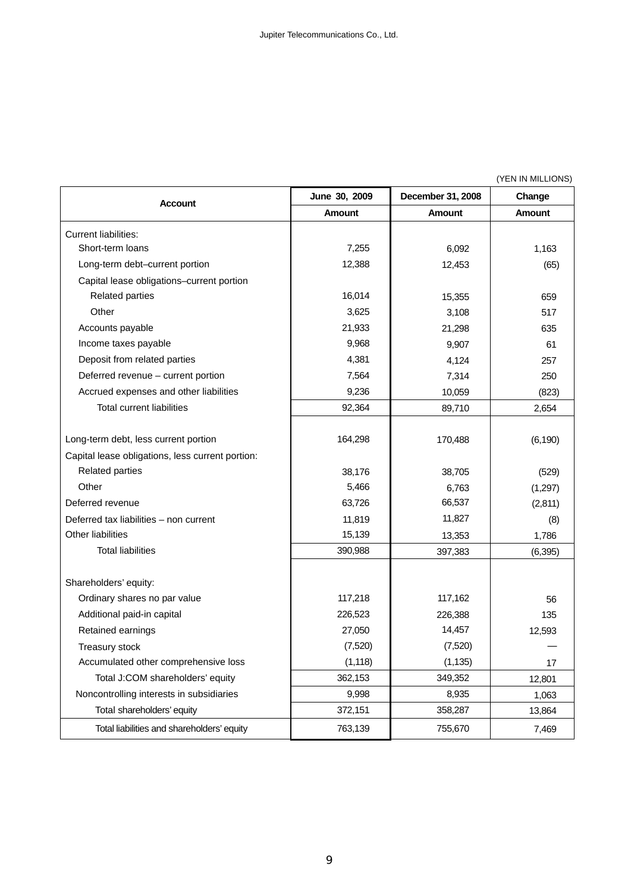(YEN IN MILLIONS)

| <b>Account</b>                                   | June 30, 2009 | December 31, 2008 | Change        |
|--------------------------------------------------|---------------|-------------------|---------------|
|                                                  | <b>Amount</b> | <b>Amount</b>     | <b>Amount</b> |
| <b>Current liabilities:</b>                      |               |                   |               |
| Short-term loans                                 | 7,255         | 6,092             | 1,163         |
| Long-term debt-current portion                   | 12,388        | 12,453            | (65)          |
| Capital lease obligations-current portion        |               |                   |               |
| <b>Related parties</b>                           | 16,014        | 15,355            | 659           |
| Other                                            | 3,625         | 3,108             | 517           |
| Accounts payable                                 | 21,933        | 21,298            | 635           |
| Income taxes payable                             | 9,968         | 9,907             | 61            |
| Deposit from related parties                     | 4,381         | 4,124             | 257           |
| Deferred revenue - current portion               | 7,564         | 7,314             | 250           |
| Accrued expenses and other liabilities           | 9,236         | 10,059            | (823)         |
| <b>Total current liabilities</b>                 | 92,364        | 89,710            | 2,654         |
|                                                  |               |                   |               |
| Long-term debt, less current portion             | 164,298       | 170,488           | (6, 190)      |
| Capital lease obligations, less current portion: |               |                   |               |
| <b>Related parties</b>                           | 38,176        | 38,705            | (529)         |
| Other                                            | 5,466         | 6,763             | (1, 297)      |
| Deferred revenue                                 | 63,726        | 66,537            | (2,811)       |
| Deferred tax liabilities - non current           | 11,819        | 11,827            | (8)           |
| Other liabilities                                | 15,139        | 13,353            | 1,786         |
| <b>Total liabilities</b>                         | 390,988       | 397,383           | (6, 395)      |
|                                                  |               |                   |               |
| Shareholders' equity:                            |               |                   |               |
| Ordinary shares no par value                     | 117,218       | 117,162           | 56            |
| Additional paid-in capital                       | 226,523       | 226,388           | 135           |
| Retained earnings                                | 27,050        | 14,457            | 12,593        |
| Treasury stock                                   | (7,520)       | (7,520)           |               |
| Accumulated other comprehensive loss             | (1, 118)      | (1, 135)          | 17            |
| Total J:COM shareholders' equity                 | 362,153       | 349,352           | 12,801        |
| Noncontrolling interests in subsidiaries         | 9,998         | 8,935             | 1,063         |
| Total shareholders' equity                       | 372,151       | 358,287           | 13,864        |
| Total liabilities and shareholders' equity       | 763,139       | 755,670           | 7,469         |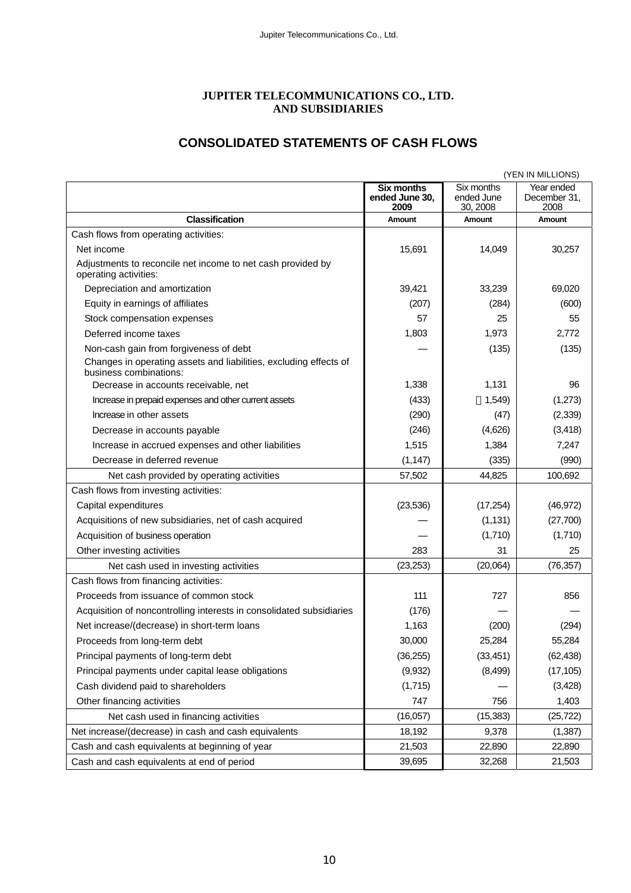## **JUPITER TELECOMMUNICATIONS CO., LTD. AND SUBSIDIARIES**

# **CONSOLIDATED STATEMENTS OF CASH FLOWS**

|                                                                                                                                       |                                             |                                      | (YEN IN MILLIONS)                  |
|---------------------------------------------------------------------------------------------------------------------------------------|---------------------------------------------|--------------------------------------|------------------------------------|
|                                                                                                                                       | <b>Six months</b><br>ended June 30,<br>2009 | Six months<br>ended June<br>30, 2008 | Year ended<br>December 31,<br>2008 |
| <b>Classification</b>                                                                                                                 | <b>Amount</b>                               | Amount                               | <b>Amount</b>                      |
| Cash flows from operating activities:                                                                                                 |                                             |                                      |                                    |
| Net income                                                                                                                            | 15,691                                      | 14,049                               | 30,257                             |
| Adjustments to reconcile net income to net cash provided by<br>operating activities:                                                  |                                             |                                      |                                    |
| Depreciation and amortization                                                                                                         | 39,421                                      | 33,239                               | 69,020                             |
| Equity in earnings of affiliates                                                                                                      | (207)                                       | (284)                                | (600)                              |
| Stock compensation expenses                                                                                                           | 57                                          | 25                                   | 55                                 |
| Deferred income taxes                                                                                                                 | 1,803                                       | 1,973                                | 2,772                              |
| Non-cash gain from forgiveness of debt<br>Changes in operating assets and liabilities, excluding effects of<br>business combinations: |                                             | (135)                                | (135)                              |
| Decrease in accounts receivable, net                                                                                                  | 1,338                                       | 1,131                                | 96                                 |
| Increase in prepaid expenses and other current assets                                                                                 | (433)                                       | 1,549                                | (1,273)                            |
| Increase in other assets                                                                                                              | (290)                                       | (47)                                 | (2, 339)                           |
| Decrease in accounts payable                                                                                                          | (246)                                       | (4,626)                              | (3, 418)                           |
| Increase in accrued expenses and other liabilities                                                                                    | 1,515                                       | 1,384                                | 7,247                              |
| Decrease in deferred revenue                                                                                                          | (1, 147)                                    | (335)                                | (990)                              |
| Net cash provided by operating activities                                                                                             | 57,502                                      | 44,825                               | 100,692                            |
| Cash flows from investing activities:                                                                                                 |                                             |                                      |                                    |
| Capital expenditures                                                                                                                  | (23, 536)                                   | (17, 254)                            | (46, 972)                          |
| Acquisitions of new subsidiaries, net of cash acquired                                                                                |                                             | (1, 131)                             | (27,700)                           |
| Acquisition of business operation                                                                                                     |                                             | (1,710)                              | (1,710)                            |
| Other investing activities                                                                                                            | 283                                         | 31                                   | 25                                 |
| Net cash used in investing activities                                                                                                 | (23, 253)                                   | (20,064)                             | (76, 357)                          |
| Cash flows from financing activities:                                                                                                 |                                             |                                      |                                    |
| Proceeds from issuance of common stock                                                                                                | 111                                         | 727                                  | 856                                |
| Acquisition of noncontrolling interests in consolidated subsidiaries                                                                  | (176)                                       |                                      |                                    |
| Net increase/(decrease) in short-term loans                                                                                           | 1,163                                       | (200)                                | (294)                              |
| Proceeds from long-term debt                                                                                                          | 30,000                                      | 25,284                               | 55,284                             |
| Principal payments of long-term debt                                                                                                  | (36, 255)                                   | (33, 451)                            | (62, 438)                          |
| Principal payments under capital lease obligations                                                                                    | (9,932)                                     | (8, 499)                             | (17, 105)                          |
| Cash dividend paid to shareholders                                                                                                    | (1,715)                                     |                                      | (3, 428)                           |
| Other financing activities                                                                                                            | 747                                         | 756                                  | 1,403                              |
| Net cash used in financing activities                                                                                                 | (16,057)                                    | (15, 383)                            | (25, 722)                          |
| Net increase/(decrease) in cash and cash equivalents                                                                                  | 18,192                                      | 9,378                                | (1, 387)                           |
| Cash and cash equivalents at beginning of year                                                                                        | 21,503                                      | 22,890                               | 22,890                             |
| Cash and cash equivalents at end of period                                                                                            | 39,695                                      | 32,268                               | 21,503                             |